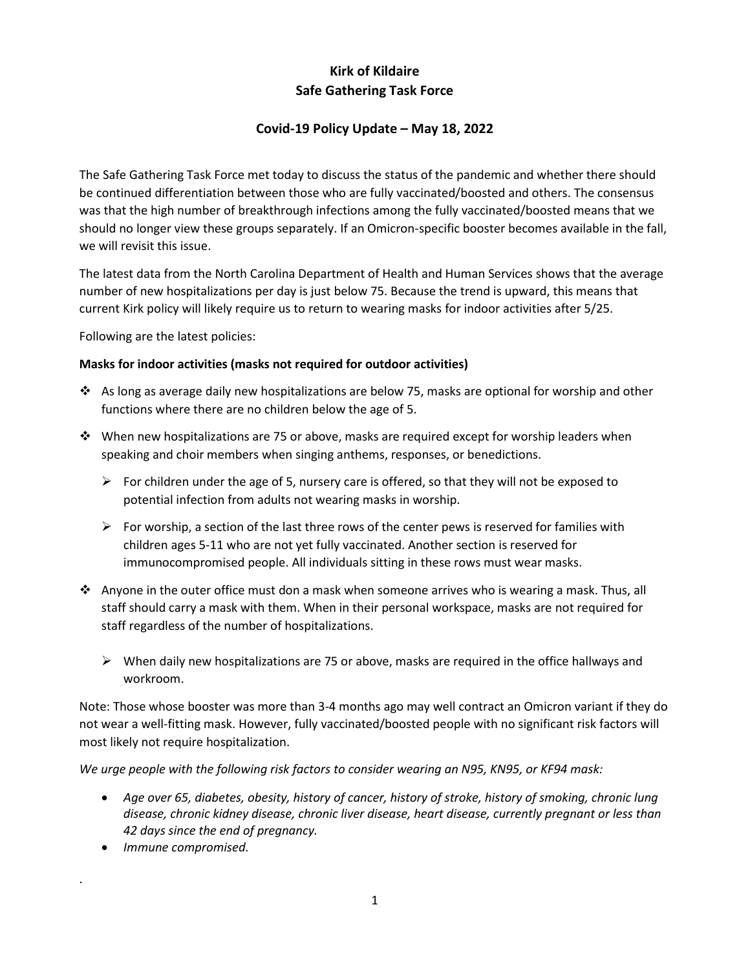# **Kirk of Kildaire Safe Gathering Task Force**

### **Covid-19 Policy Update – May 18, 2022**

The Safe Gathering Task Force met today to discuss the status of the pandemic and whether there should be continued differentiation between those who are fully vaccinated/boosted and others. The consensus was that the high number of breakthrough infections among the fully vaccinated/boosted means that we should no longer view these groups separately. If an Omicron-specific booster becomes available in the fall, we will revisit this issue.

The latest data from the North Carolina Department of Health and Human Services shows that the average number of new hospitalizations per day is just below 75. Because the trend is upward, this means that current Kirk policy will likely require us to return to wearing masks for indoor activities after 5/25.

Following are the latest policies:

#### **Masks for indoor activities (masks not required for outdoor activities)**

- ❖ As long as average daily new hospitalizations are below 75, masks are optional for worship and other functions where there are no children below the age of 5.
- ❖ When new hospitalizations are 75 or above, masks are required except for worship leaders when speaking and choir members when singing anthems, responses, or benedictions.
	- $\triangleright$  For children under the age of 5, nursery care is offered, so that they will not be exposed to potential infection from adults not wearing masks in worship.
	- $\triangleright$  For worship, a section of the last three rows of the center pews is reserved for families with children ages 5-11 who are not yet fully vaccinated. Another section is reserved for immunocompromised people. All individuals sitting in these rows must wear masks.
- ◆ Anyone in the outer office must don a mask when someone arrives who is wearing a mask. Thus, all staff should carry a mask with them. When in their personal workspace, masks are not required for staff regardless of the number of hospitalizations.
	- $\triangleright$  When daily new hospitalizations are 75 or above, masks are required in the office hallways and workroom.

Note: Those whose booster was more than 3-4 months ago may well contract an Omicron variant if they do not wear a well-fitting mask. However, fully vaccinated/boosted people with no significant risk factors will most likely not require hospitalization.

*We urge people with the following risk factors to consider wearing an N95, KN95, or KF94 mask:*

- *Age over 65, diabetes, obesity, history of cancer, history of stroke, history of smoking, chronic lung disease, chronic kidney disease, chronic liver disease, heart disease, currently pregnant or less than 42 days since the end of pregnancy.*
- *Immune compromised.*

.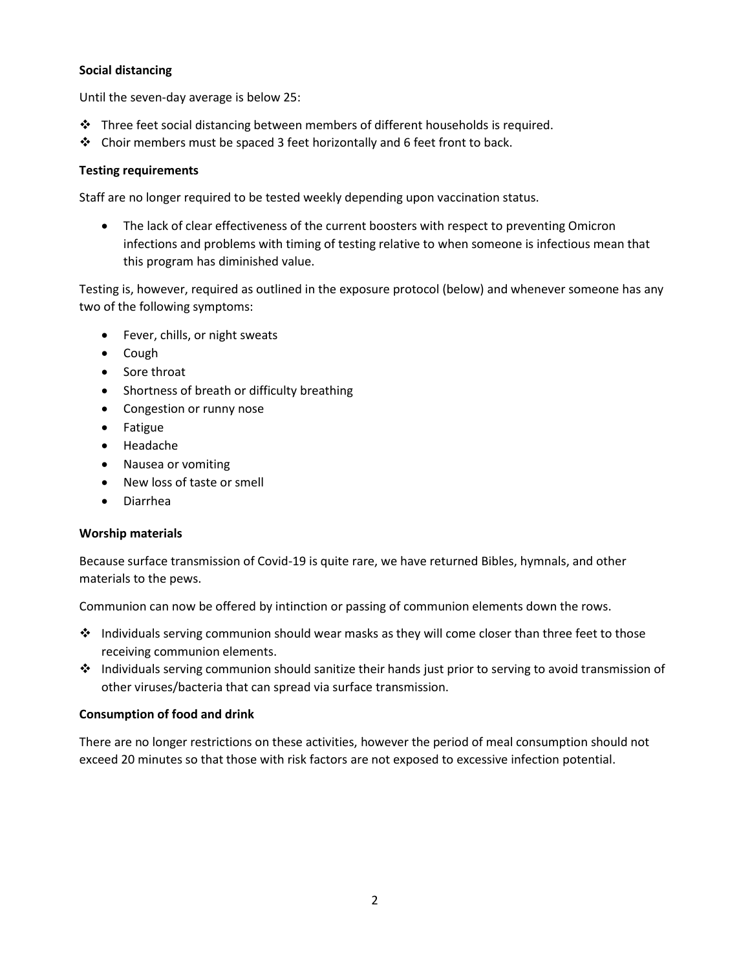#### **Social distancing**

Until the seven-day average is below 25:

- ❖ Three feet social distancing between members of different households is required.
- ❖ Choir members must be spaced 3 feet horizontally and 6 feet front to back.

#### **Testing requirements**

Staff are no longer required to be tested weekly depending upon vaccination status.

• The lack of clear effectiveness of the current boosters with respect to preventing Omicron infections and problems with timing of testing relative to when someone is infectious mean that this program has diminished value.

Testing is, however, required as outlined in the exposure protocol (below) and whenever someone has any two of the following symptoms:

- Fever, chills, or night sweats
- Cough
- Sore throat
- Shortness of breath or difficulty breathing
- Congestion or runny nose
- Fatigue
- Headache
- Nausea or vomiting
- New loss of taste or smell
- Diarrhea

#### **Worship materials**

Because surface transmission of Covid-19 is quite rare, we have returned Bibles, hymnals, and other materials to the pews.

Communion can now be offered by intinction or passing of communion elements down the rows.

- ❖ Individuals serving communion should wear masks as they will come closer than three feet to those receiving communion elements.
- ❖ Individuals serving communion should sanitize their hands just prior to serving to avoid transmission of other viruses/bacteria that can spread via surface transmission.

#### **Consumption of food and drink**

There are no longer restrictions on these activities, however the period of meal consumption should not exceed 20 minutes so that those with risk factors are not exposed to excessive infection potential.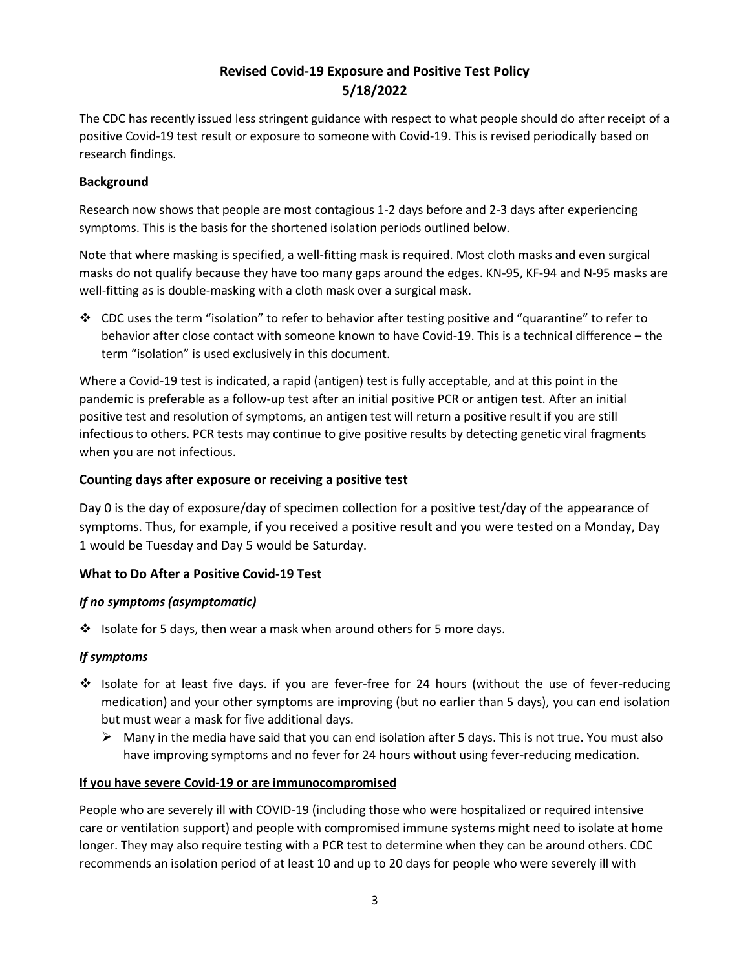## **Revised Covid-19 Exposure and Positive Test Policy 5/18/2022**

The CDC has recently issued less stringent guidance with respect to what people should do after receipt of a positive Covid-19 test result or exposure to someone with Covid-19. This is revised periodically based on research findings.

### **Background**

Research now shows that people are most contagious 1-2 days before and 2-3 days after experiencing symptoms. This is the basis for the shortened isolation periods outlined below.

Note that where masking is specified, a well-fitting mask is required. Most cloth masks and even surgical masks do not qualify because they have too many gaps around the edges. KN-95, KF-94 and N-95 masks are well-fitting as is double-masking with a cloth mask over a surgical mask.

❖ CDC uses the term "isolation" to refer to behavior after testing positive and "quarantine" to refer to behavior after close contact with someone known to have Covid-19. This is a technical difference – the term "isolation" is used exclusively in this document.

Where a Covid-19 test is indicated, a rapid (antigen) test is fully acceptable, and at this point in the pandemic is preferable as a follow-up test after an initial positive PCR or antigen test. After an initial positive test and resolution of symptoms, an antigen test will return a positive result if you are still infectious to others. PCR tests may continue to give positive results by detecting genetic viral fragments when you are not infectious.

### **Counting days after exposure or receiving a positive test**

Day 0 is the day of exposure/day of specimen collection for a positive test/day of the appearance of symptoms. Thus, for example, if you received a positive result and you were tested on a Monday, Day 1 would be Tuesday and Day 5 would be Saturday.

#### **What to Do After a Positive Covid-19 Test**

#### *If no symptoms (asymptomatic)*

❖ Isolate for 5 days, then wear a mask when around others for 5 more days.

#### *If symptoms*

- ❖ Isolate for at least five days. if you are fever-free for 24 hours (without the use of fever-reducing medication) and your other symptoms are improving (but no earlier than 5 days), you can end isolation but must wear a mask for five additional days.
	- $\triangleright$  Many in the media have said that you can end isolation after 5 days. This is not true. You must also have improving symptoms and no fever for 24 hours without using fever-reducing medication.

#### **If you have severe Covid-19 or are immunocompromised**

People who are severely ill with COVID-19 (including those who were hospitalized or required intensive care or ventilation support) and people with compromised immune systems might need to isolate at home longer. They may also require testing with a PCR test to determine when they can be around others. CDC recommends an isolation period of at least 10 and up to 20 days for people who were severely ill with